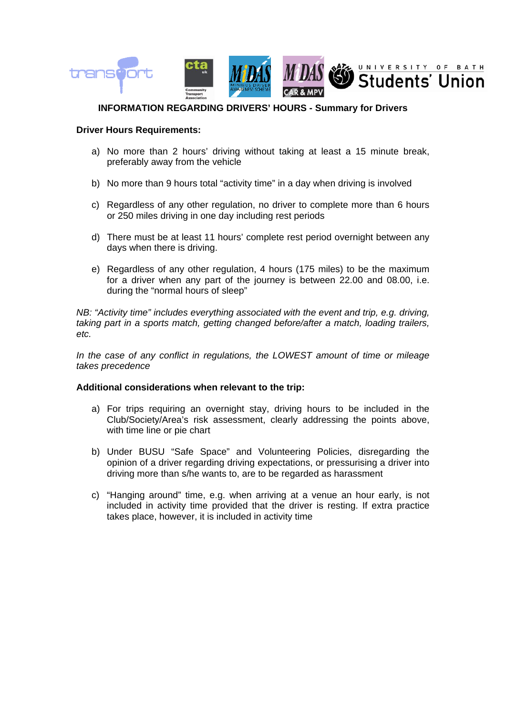

## **INFORMATION REGARDING DRIVERS' HOURS - Summary for Drivers**

## **Driver Hours Requirements:**

- a) No more than 2 hours' driving without taking at least a 15 minute break, preferably away from the vehicle
- b) No more than 9 hours total "activity time" in a day when driving is involved
- c) Regardless of any other regulation, no driver to complete more than 6 hours or 250 miles driving in one day including rest periods
- d) There must be at least 11 hours' complete rest period overnight between any days when there is driving.
- e) Regardless of any other regulation, 4 hours (175 miles) to be the maximum for a driver when any part of the journey is between 22.00 and 08.00, i.e. during the "normal hours of sleep"

*NB: "Activity time" includes everything associated with the event and trip, e.g. driving, taking part in a sports match, getting changed before/after a match, loading trailers, etc.* 

*In the case of any conflict in regulations, the LOWEST amount of time or mileage takes precedence* 

## **Additional considerations when relevant to the trip:**

- a) For trips requiring an overnight stay, driving hours to be included in the Club/Society/Area's risk assessment, clearly addressing the points above, with time line or pie chart
- b) Under BUSU "Safe Space" and Volunteering Policies, disregarding the opinion of a driver regarding driving expectations, or pressurising a driver into driving more than s/he wants to, are to be regarded as harassment
- c) "Hanging around" time, e.g. when arriving at a venue an hour early, is not included in activity time provided that the driver is resting. If extra practice takes place, however, it is included in activity time